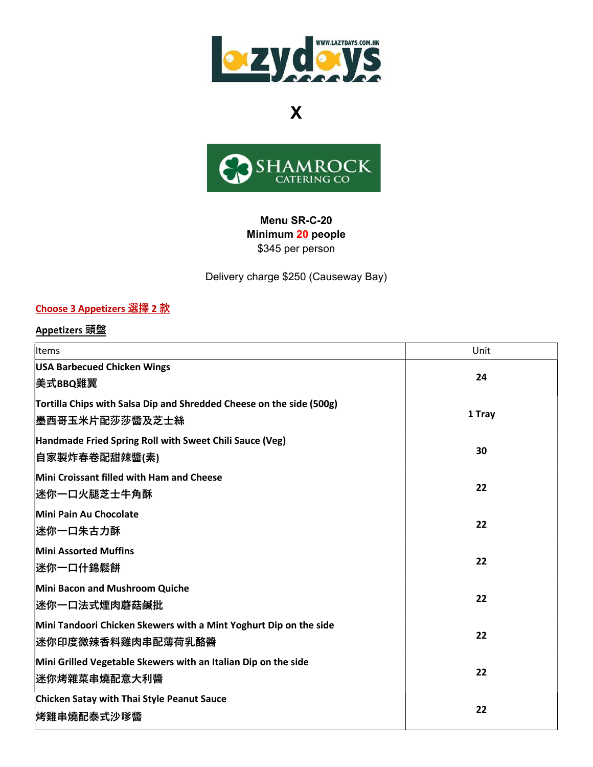



#### Menu SR-C-20 Minimum 20 people \$345 per person

Delivery charge \$250 (Causeway Bay)

## Choose 3 Appetizers 選擇 2 款

#### Appetizers 頭盤

| Items                                                                                   | Unit   |
|-----------------------------------------------------------------------------------------|--------|
| <b>USA Barbecued Chicken Wings</b><br>美式BBQ雞翼                                           | 24     |
| Tortilla Chips with Salsa Dip and Shredded Cheese on the side (500g)<br>墨西哥玉米片配莎莎醬及芝士絲  | 1 Tray |
| Handmade Fried Spring Roll with Sweet Chili Sauce (Veg)<br> 自家製炸春卷配甜辣醬(素)               | 30     |
| Mini Croissant filled with Ham and Cheese<br> 迷你一口火腿芝士牛角酥                               | 22     |
| Mini Pain Au Chocolate<br>迷你一口朱古力酥                                                      | 22     |
| <b>Mini Assorted Muffins</b><br>迷你一口什錦鬆餅                                                | 22     |
| Mini Bacon and Mushroom Quiche<br>迷你一口法式煙肉蘑菇鹹批                                          | 22     |
| Mini Tandoori Chicken Skewers with a Mint Yoghurt Dip on the side<br> 迷你印度微辣香料雞肉串配薄荷乳酪醬 | 22     |
| Mini Grilled Vegetable Skewers with an Italian Dip on the side<br>迷你烤雜菜串燒配意大利醬          | 22     |
| Chicken Satay with Thai Style Peanut Sauce<br>烤雞串燒配泰式沙嗲醬                                | 22     |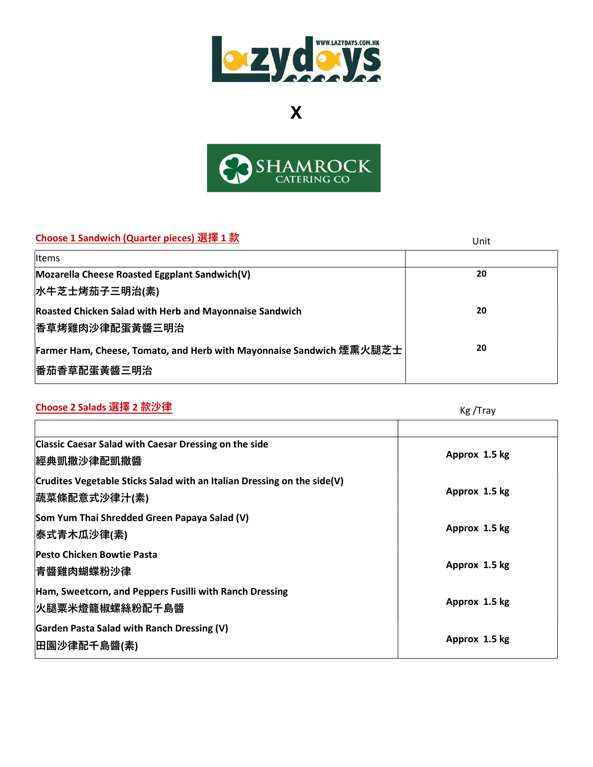



### Choose 1 Sandwich (Quarter pieces) 選擇 1 款 Unit

|                                                                      | UIIIL |
|----------------------------------------------------------------------|-------|
| Items                                                                |       |
| Mozarella Cheese Roasted Eggplant Sandwich(V)                        | 20    |
| 水牛芝士烤茄子三明治(素)                                                        |       |
| Roasted Chicken Salad with Herb and Mayonnaise Sandwich              | 20    |
| <b> 香草烤雞肉沙律配蛋黃醬三明治</b>                                               |       |
| Farmer Ham, Cheese, Tomato, and Herb with Mayonnaise Sandwich 煙熏火腿芝士 | 20    |
| <b> 番茄香草配蛋黃醬三明治</b>                                                  |       |

# <mark>Choose 2 Salads 選擇 2 款沙律</mark> King The Choose 2 Salads 選擇 2 款沙律

| <b>Classic Caesar Salad with Caesar Dressing on the side</b><br><b> 經典凱撒沙律配凱撒醬</b>       | Approx 1.5 kg |
|------------------------------------------------------------------------------------------|---------------|
| Crudites Vegetable Sticks Salad with an Italian Dressing on the side(V)<br> 蔬菜條配意式沙律汁(素) | Approx 1.5 kg |
| Som Yum Thai Shredded Green Papaya Salad (V)<br> 泰式青木瓜沙律(素)                              | Approx 1.5 kg |
| <b>Pesto Chicken Bowtie Pasta</b><br> 青醬雞肉蝴蝶粉沙律                                          | Approx 1.5 kg |
| Ham, Sweetcorn, and Peppers Fusilli with Ranch Dressing<br><b> 火腿粟米燈籠椒螺絲粉配千島醬</b>        | Approx 1.5 kg |
| Garden Pasta Salad with Ranch Dressing (V)<br> 田園沙律配千島醬(素)                               | Approx 1.5 kg |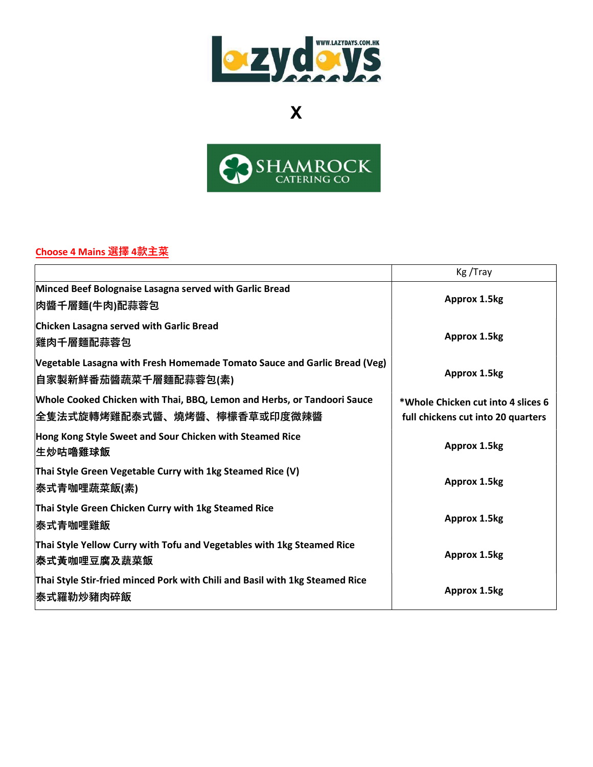



### Choose 4 Mains 選擇 4款主菜

|                                                                                                         | Kg/Tray                                                                  |
|---------------------------------------------------------------------------------------------------------|--------------------------------------------------------------------------|
| Minced Beef Bolognaise Lasagna served with Garlic Bread<br> 肉醬千層麵(牛肉)配蒜蓉包                               | Approx 1.5kg                                                             |
| Chicken Lasagna served with Garlic Bread<br><b> 雞肉千層麵配蒜蓉包</b>                                           | <b>Approx 1.5kg</b>                                                      |
| Vegetable Lasagna with Fresh Homemade Tomato Sauce and Garlic Bread (Veg)<br> 自家製新鮮番茄醬蔬菜千層麵配蒜蓉包(素)      | Approx 1.5kg                                                             |
| Whole Cooked Chicken with Thai, BBQ, Lemon and Herbs, or Tandoori Sauce<br> 全隻法式旋轉烤雞配泰式醬、燒烤醬、檸檬香草或印度微辣醬 | *Whole Chicken cut into 4 slices 6<br>full chickens cut into 20 quarters |
| Hong Kong Style Sweet and Sour Chicken with Steamed Rice<br><b> 生炒咕嚕雞球飯</b>                             | <b>Approx 1.5kg</b>                                                      |
| Thai Style Green Vegetable Curry with 1kg Steamed Rice (V)<br> 泰式青咖哩蔬菜飯(素)                              | <b>Approx 1.5kg</b>                                                      |
| Thai Style Green Chicken Curry with 1kg Steamed Rice<br><b> 泰式青咖哩雞飯</b>                                 | <b>Approx 1.5kg</b>                                                      |
| Thai Style Yellow Curry with Tofu and Vegetables with 1kg Steamed Rice<br><b> 泰式黃咖哩豆腐及蔬菜飯</b>           | <b>Approx 1.5kg</b>                                                      |
| Thai Style Stir-fried minced Pork with Chili and Basil with 1kg Steamed Rice<br><b> 泰式羅勒炒豬肉碎飯</b>       | Approx 1.5kg                                                             |